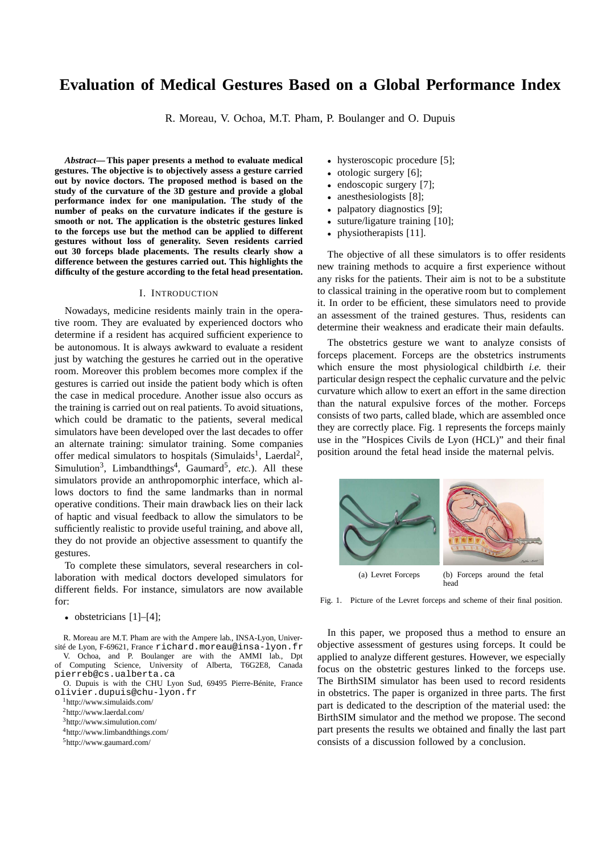# **Evaluation of Medical Gestures Based on a Global Performance Index**

R. Moreau, V. Ochoa, M.T. Pham, P. Boulanger and O. Dupuis

*Abstract***— This paper presents a method to evaluate medical gestures. The objective is to objectively assess a gesture carried out by novice doctors. The proposed method is based on the study of the curvature of the 3D gesture and provide a global performance index for one manipulation. The study of the number of peaks on the curvature indicates if the gesture is smooth or not. The application is the obstetric gestures linked to the forceps use but the method can be applied to different gestures without loss of generality. Seven residents carried out 30 forceps blade placements. The results clearly show a difference between the gestures carried out. This highlights the difficulty of the gesture according to the fetal head presentation.**

# I. INTRODUCTION

Nowadays, medicine residents mainly train in the operative room. They are evaluated by experienced doctors who determine if a resident has acquired sufficient experience to be autonomous. It is always awkward to evaluate a resident just by watching the gestures he carried out in the operative room. Moreover this problem becomes more complex if the gestures is carried out inside the patient body which is often the case in medical procedure. Another issue also occurs as the training is carried out on real patients. To avoid situations, which could be dramatic to the patients, several medical simulators have been developed over the last decades to offer an alternate training: simulator training. Some companies offer medical simulators to hospitals (Simulaids<sup>1</sup>, Laerdal<sup>2</sup>, Simulution<sup>3</sup>, Limbandthings<sup>4</sup>, Gaumard<sup>5</sup>, etc.). All these simulators provide an anthropomorphic interface, which allows doctors to find the same landmarks than in normal operative conditions. Their main drawback lies on their lack of haptic and visual feedback to allow the simulators to be sufficiently realistic to provide useful training, and above all, they do not provide an objective assessment to quantify the gestures.

To complete these simulators, several researchers in collaboration with medical doctors developed simulators for different fields. For instance, simulators are now available for:

• obstetricians [1]–[4];

R. Moreau are M.T. Pham are with the Ampere lab., INSA-Lyon, Université de Lyon, F-69621, France richard.moreau@insa-lyon.fr V. Ochoa, and P. Boulanger are with the AMMI lab., Dpt of Computing Science, University of Alberta, T6G2E8, Canada pierreb@cs.ualberta.ca

O. Dupuis is with the CHU Lyon Sud, 69495 Pierre-Bénite, France olivier.dupuis@chu-lyon.fr

<sup>1</sup>http://www.simulaids.com/

- <sup>2</sup>http://www.laerdal.com/
- <sup>3</sup>http://www.simulution.com/
- 4 http://www.limbandthings.com/
- <sup>5</sup>http://www.gaumard.com/
- hysteroscopic procedure [5];
- otologic surgery [6];
- endoscopic surgery [7]:
- anesthesiologists [8];
- palpatory diagnostics [9];
- suture/ligature training [10];
- physiotherapists [11].

The objective of all these simulators is to offer residents new training methods to acquire a first experience without any risks for the patients. Their aim is not to be a substitute to classical training in the operative room but to complement it. In order to be efficient, these simulators need to provide an assessment of the trained gestures. Thus, residents can determine their weakness and eradicate their main defaults.

The obstetrics gesture we want to analyze consists of forceps placement. Forceps are the obstetrics instruments which ensure the most physiological childbirth *i.e.* their particular design respect the cephalic curvature and the pelvic curvature which allow to exert an effort in the same direction than the natural expulsive forces of the mother. Forceps consists of two parts, called blade, which are assembled once they are correctly place. Fig. 1 represents the forceps mainly use in the "Hospices Civils de Lyon (HCL)" and their final position around the fetal head inside the maternal pelvis.



Fig. 1. Picture of the Levret forceps and scheme of their final position.

In this paper, we proposed thus a method to ensure an objective assessment of gestures using forceps. It could be applied to analyze different gestures. However, we especially focus on the obstetric gestures linked to the forceps use. The BirthSIM simulator has been used to record residents in obstetrics. The paper is organized in three parts. The first part is dedicated to the description of the material used: the BirthSIM simulator and the method we propose. The second part presents the results we obtained and finally the last part consists of a discussion followed by a conclusion.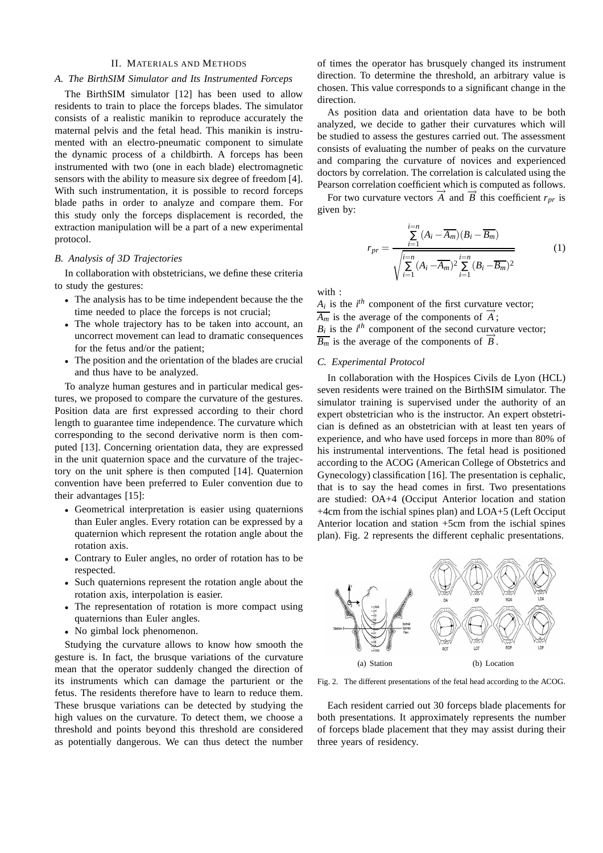#### II. MATERIALS AND METHODS

### *A. The BirthSIM Simulator and Its Instrumented Forceps*

The BirthSIM simulator [12] has been used to allow residents to train to place the forceps blades. The simulator consists of a realistic manikin to reproduce accurately the maternal pelvis and the fetal head. This manikin is instrumented with an electro-pneumatic component to simulate the dynamic process of a childbirth. A forceps has been instrumented with two (one in each blade) electromagnetic sensors with the ability to measure six degree of freedom [4]. With such instrumentation, it is possible to record forceps blade paths in order to analyze and compare them. For this study only the forceps displacement is recorded, the extraction manipulation will be a part of a new experimental protocol.

#### *B. Analysis of 3D Trajectories*

In collaboration with obstetricians, we define these criteria to study the gestures:

- The analysis has to be time independent because the the time needed to place the forceps is not crucial;
- The whole trajectory has to be taken into account, an uncorrect movement can lead to dramatic consequences for the fetus and/or the patient;
- The position and the orientation of the blades are crucial and thus have to be analyzed.

To analyze human gestures and in particular medical gestures, we proposed to compare the curvature of the gestures. Position data are first expressed according to their chord length to guarantee time independence. The curvature which corresponding to the second derivative norm is then computed [13]. Concerning orientation data, they are expressed in the unit quaternion space and the curvature of the trajectory on the unit sphere is then computed [14]. Quaternion convention have been preferred to Euler convention due to their advantages [15]:

- Geometrical interpretation is easier using quaternions than Euler angles. Every rotation can be expressed by a quaternion which represent the rotation angle about the rotation axis.
- Contrary to Euler angles, no order of rotation has to be respected.
- Such quaternions represent the rotation angle about the rotation axis, interpolation is easier.
- The representation of rotation is more compact using quaternions than Euler angles.
- No gimbal lock phenomenon.

Studying the curvature allows to know how smooth the gesture is. In fact, the brusque variations of the curvature mean that the operator suddenly changed the direction of its instruments which can damage the parturient or the fetus. The residents therefore have to learn to reduce them. These brusque variations can be detected by studying the high values on the curvature. To detect them, we choose a threshold and points beyond this threshold are considered as potentially dangerous. We can thus detect the number of times the operator has brusquely changed its instrument direction. To determine the threshold, an arbitrary value is chosen. This value corresponds to a significant change in the direction.

As position data and orientation data have to be both analyzed, we decide to gather their curvatures which will be studied to assess the gestures carried out. The assessment consists of evaluating the number of peaks on the curvature and comparing the curvature of novices and experienced doctors by correlation. The correlation is calculated using the Pearson correlation coefficient which is computed as follows.

arson correlation coefficient which is computed as follows.<br>For two curvature vectors  $\overrightarrow{A}$  and  $\overrightarrow{B}$  this coefficient  $r_{pr}$  is given by:

$$
r_{pr} = \frac{\sum_{i=1}^{i=n} (A_i - \overline{A_m})(B_i - \overline{B_m})}{\sqrt{\sum_{i=1}^{i=n} (A_i - \overline{A_m})^2 \sum_{i=1}^{i=n} (B_i - \overline{B_m})^2}}
$$
(1)

with :

 $A_i$  is the  $i^{th}$  component of the first curvature vector;  $\overrightarrow{A_m}$  is the average of the components of  $\overrightarrow{A}$ ;  $B_i$  is the  $i^{th}$  component of the second curvature vector;  $\overline{B_m}$  is the average of the components of  $\overline{B}$ .

# *C. Experimental Protocol*

In collaboration with the Hospices Civils de Lyon (HCL) seven residents were trained on the BirthSIM simulator. The simulator training is supervised under the authority of an expert obstetrician who is the instructor. An expert obstetrician is defined as an obstetrician with at least ten years of experience, and who have used forceps in more than 80% of his instrumental interventions. The fetal head is positioned according to the ACOG (American College of Obstetrics and Gynecology) classification [16]. The presentation is cephalic, that is to say the head comes in first. Two presentations are studied: OA+4 (Occiput Anterior location and station +4cm from the ischial spines plan) and LOA+5 (Left Occiput Anterior location and station +5cm from the ischial spines plan). Fig. 2 represents the different cephalic presentations.



Fig. 2. The different presentations of the fetal head according to the ACOG.

Each resident carried out 30 forceps blade placements for both presentations. It approximately represents the number of forceps blade placement that they may assist during their three years of residency.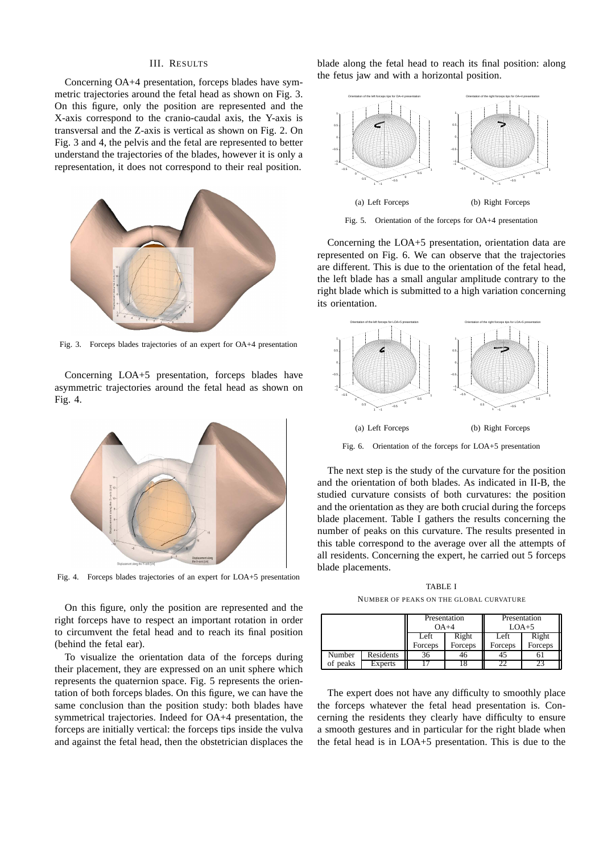## III. RESULTS

Concerning OA+4 presentation, forceps blades have symmetric trajectories around the fetal head as shown on Fig. 3. On this figure, only the position are represented and the X-axis correspond to the cranio-caudal axis, the Y-axis is transversal and the Z-axis is vertical as shown on Fig. 2. On Fig. 3 and 4, the pelvis and the fetal are represented to better understand the trajectories of the blades, however it is only a representation, it does not correspond to their real position.



Fig. 3. Forceps blades trajectories of an expert for OA+4 presentation

Concerning LOA+5 presentation, forceps blades have asymmetric trajectories around the fetal head as shown on Fig. 4.



Fig. 4. Forceps blades trajectories of an expert for LOA+5 presentation

On this figure, only the position are represented and the right forceps have to respect an important rotation in order to circumvent the fetal head and to reach its final position (behind the fetal ear).

To visualize the orientation data of the forceps during their placement, they are expressed on an unit sphere which represents the quaternion space. Fig. 5 represents the orientation of both forceps blades. On this figure, we can have the same conclusion than the position study: both blades have symmetrical trajectories. Indeed for OA+4 presentation, the forceps are initially vertical: the forceps tips inside the vulva and against the fetal head, then the obstetrician displaces the blade along the fetal head to reach its final position: along the fetus jaw and with a horizontal position.



Fig. 5. Orientation of the forceps for OA+4 presentation

Concerning the LOA+5 presentation, orientation data are represented on Fig. 6. We can observe that the trajectories are different. This is due to the orientation of the fetal head, the left blade has a small angular amplitude contrary to the right blade which is submitted to a high variation concerning its orientation.



Fig. 6. Orientation of the forceps for LOA+5 presentation

The next step is the study of the curvature for the position and the orientation of both blades. As indicated in II-B, the studied curvature consists of both curvatures: the position and the orientation as they are both crucial during the forceps blade placement. Table I gathers the results concerning the number of peaks on this curvature. The results presented in this table correspond to the average over all the attempts of all residents. Concerning the expert, he carried out 5 forceps blade placements.

TABLE I NUMBER OF PEAKS ON THE GLOBAL CURVATURE

|          |           | Presentation<br>$OA+4$ |                  | Presentation<br>$LOA+5$ |                  |
|----------|-----------|------------------------|------------------|-------------------------|------------------|
|          |           | Left<br>Forceps        | Right<br>Forceps | Left<br>Forceps         | Right<br>Forceps |
| Number   | Residents | 36                     | 46               | 45                      |                  |
| of peaks | Experts   |                        |                  |                         |                  |

The expert does not have any difficulty to smoothly place the forceps whatever the fetal head presentation is. Concerning the residents they clearly have difficulty to ensure a smooth gestures and in particular for the right blade when the fetal head is in LOA+5 presentation. This is due to the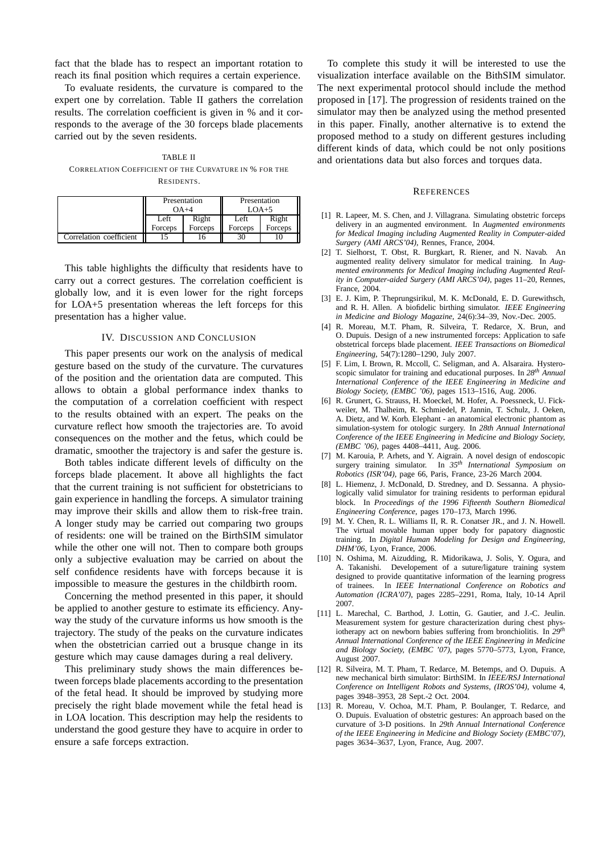fact that the blade has to respect an important rotation to reach its final position which requires a certain experience.

To evaluate residents, the curvature is compared to the expert one by correlation. Table II gathers the correlation results. The correlation coefficient is given in % and it corresponds to the average of the 30 forceps blade placements carried out by the seven residents.

TABLE II CORRELATION COEFFICIENT OF THE CURVATURE IN % FOR THE RESIDENTS.

|                         |         |         | Presentation<br>$OA+4$ |         | Presentation<br>$LOA+5$ |  |
|-------------------------|---------|---------|------------------------|---------|-------------------------|--|
|                         | Left    | Right   | Left                   | Right   |                         |  |
|                         | Forceps | Forceps | Forceps                | Forceps |                         |  |
| Correlation coefficient |         |         |                        |         |                         |  |

This table highlights the difficulty that residents have to carry out a correct gestures. The correlation coefficient is globally low, and it is even lower for the right forceps for LOA+5 presentation whereas the left forceps for this presentation has a higher value.

#### IV. DISCUSSION AND CONCLUSION

This paper presents our work on the analysis of medical gesture based on the study of the curvature. The curvatures of the position and the orientation data are computed. This allows to obtain a global performance index thanks to the computation of a correlation coefficient with respect to the results obtained with an expert. The peaks on the curvature reflect how smooth the trajectories are. To avoid consequences on the mother and the fetus, which could be dramatic, smoother the trajectory is and safer the gesture is.

Both tables indicate different levels of difficulty on the forceps blade placement. It above all highlights the fact that the current training is not sufficient for obstetricians to gain experience in handling the forceps. A simulator training may improve their skills and allow them to risk-free train. A longer study may be carried out comparing two groups of residents: one will be trained on the BirthSIM simulator while the other one will not. Then to compare both groups only a subjective evaluation may be carried on about the self confidence residents have with forceps because it is impossible to measure the gestures in the childbirth room.

Concerning the method presented in this paper, it should be applied to another gesture to estimate its efficiency. Anyway the study of the curvature informs us how smooth is the trajectory. The study of the peaks on the curvature indicates when the obstetrician carried out a brusque change in its gesture which may cause damages during a real delivery.

This preliminary study shows the main differences between forceps blade placements according to the presentation of the fetal head. It should be improved by studying more precisely the right blade movement while the fetal head is in LOA location. This description may help the residents to understand the good gesture they have to acquire in order to ensure a safe forceps extraction.

To complete this study it will be interested to use the visualization interface available on the BithSIM simulator. The next experimental protocol should include the method proposed in [17]. The progression of residents trained on the simulator may then be analyzed using the method presented in this paper. Finally, another alternative is to extend the proposed method to a study on different gestures including different kinds of data, which could be not only positions and orientations data but also forces and torques data.

#### **REFERENCES**

- [1] R. Lapeer, M. S. Chen, and J. Villagrana. Simulating obstetric forceps delivery in an augmented environment. In *Augmented environments for Medical Imaging including Augmented Reality in Computer-aided Surgery (AMI ARCS'04)*, Rennes, France, 2004.
- [2] T. Sielhorst, T. Obst, R. Burgkart, R. Riener, and N. Navab. An augmented reality delivery simulator for medical training. In *Augmented environments for Medical Imaging including Augmented Reality in Computer-aided Surgery (AMI ARCS'04)*, pages 11–20, Rennes, France, 2004.
- [3] E. J. Kim, P. Theprungsirikul, M. K. McDonald, E. D. Gurewithsch, and R. H. Allen. A biofidelic birthing simulator. *IEEE Engineering in Medicine and Biology Magazine*, 24(6):34–39, Nov.-Dec. 2005.
- [4] R. Moreau, M.T. Pham, R. Silveira, T. Redarce, X. Brun, and O. Dupuis. Design of a new instrumented forceps: Application to safe obstetrical forceps blade placement. *IEEE Transactions on Biomedical Engineering*, 54(7):1280–1290, July 2007.
- [5] F. Lim, I. Brown, R. Mccoll, C. Seligman, and A. Alsaraira. Hysteroscopic simulator for training and educational purposes. In *28th Annual International Conference of the IEEE Engineering in Medicine and Biology Society, (EMBC '06)*, pages 1513–1516, Aug. 2006.
- [6] R. Grunert, G. Strauss, H. Moeckel, M. Hofer, A. Poessneck, U. Fickweiler, M. Thalheim, R. Schmiedel, P. Jannin, T. Schulz, J. Oeken, A. Dietz, and W. Korb. Elephant - an anatomical electronic phantom as simulation-system for otologic surgery. In *28th Annual International Conference of the IEEE Engineering in Medicine and Biology Society, (EMBC '06)*, pages 4408–4411, Aug. 2006.
- [7] M. Karouia, P. Arhets, and Y. Aigrain. A novel design of endoscopic surgery training simulator. In *35th International Symposium on Robotics (ISR'04)*, page 66, Paris, France, 23-26 March 2004.
- [8] L. Hiemenz, J. McDonald, D. Stredney, and D. Sessanna. A physiologically valid simulator for training residents to performan epidural block. In *Proceedings of the 1996 Fifteenth Southern Biomedical Engineering Conference*, pages 170–173, March 1996.
- [9] M. Y. Chen, R. L. Williams II, R. R. Conatser JR., and J. N. Howell. The virtual movable human upper body for papatory diagnostic training. In *Digital Human Modeling for Design and Engineering, DHM'06*, Lyon, France, 2006.
- [10] N. Oshima, M. Aizudding, R. Midorikawa, J. Solis, Y. Ogura, and A. Takanishi. Developement of a suture/ligature training system designed to provide quantitative information of the learning progress of trainees. In *IEEE International Conference on Robotics and Automation (ICRA'07)*, pages 2285–2291, Roma, Italy, 10-14 April 2007.
- [11] L. Marechal, C. Barthod, J. Lottin, G. Gautier, and J.-C. Jeulin. Measurement system for gesture characterization during chest physiotherapy act on newborn babies suffering from bronchiolitis. In *29th Annual International Conference of the IEEE Engineering in Medicine and Biology Society, (EMBC '07)*, pages 5770–5773, Lyon, France, August 2007.
- [12] R. Silveira, M. T. Pham, T. Redarce, M. Betemps, and O. Dupuis. A new mechanical birth simulator: BirthSIM. In *IEEE/RSJ International Conference on Intelligent Robots and Systems, (IROS'04)*, volume 4, pages 3948–3953, 28 Sept.-2 Oct. 2004.
- [13] R. Moreau, V. Ochoa, M.T. Pham, P. Boulanger, T. Redarce, and O. Dupuis. Evaluation of obstetric gestures: An approach based on the curvature of 3-D positions. In *29th Annual International Conference of the IEEE Engineering in Medicine and Biology Society (EMBC'07)*, pages 3634–3637, Lyon, France, Aug. 2007.